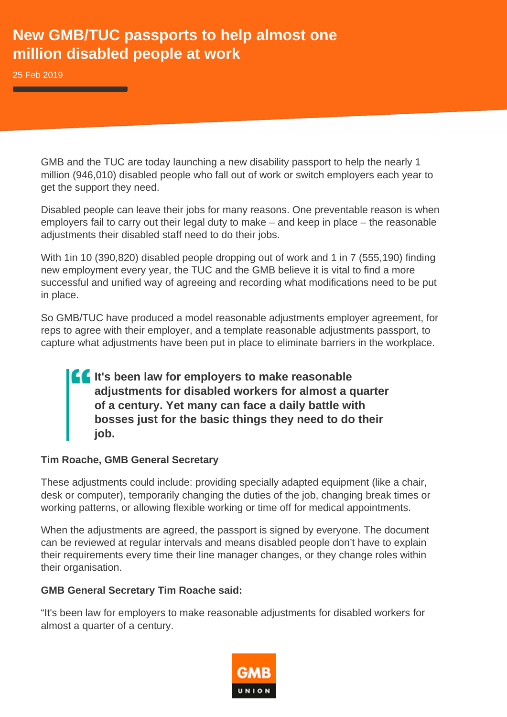# **New GMB/TUC passports to help almost one million disabled people at work**

25 Feb 2019

GMB and the TUC are today launching a new disability passport to help the nearly 1 million (946,010) disabled people who fall out of work or switch employers each year to get the support they need.

Disabled people can leave their jobs for many reasons. One preventable reason is when employers fail to carry out their legal duty to make – and keep in place – the reasonable adjustments their disabled staff need to do their jobs.

With 1in 10 (390,820) disabled people dropping out of work and 1 in 7 (555,190) finding new employment every year, the TUC and the GMB believe it is vital to find a more successful and unified way of agreeing and recording what modifications need to be put in place.

So GMB/TUC have produced a model reasonable adjustments employer agreement, for reps to agree with their employer, and a template reasonable adjustments passport, to capture what adjustments have been put in place to eliminate barriers in the workplace.

## **If It's been law for employers to make reasonable adjustments for disabled workers for almost a quarter of a century. Yet many can face a daily battle with bosses just for the basic things they need to do their job.**

#### **Tim Roache, GMB General Secretary**

These adjustments could include: providing specially adapted equipment (like a chair, desk or computer), temporarily changing the duties of the job, changing break times or working patterns, or allowing flexible working or time off for medical appointments.

When the adjustments are agreed, the passport is signed by everyone. The document can be reviewed at regular intervals and means disabled people don't have to explain their requirements every time their line manager changes, or they change roles within their organisation.

#### **GMB General Secretary Tim Roache said:**

"It's been law for employers to make reasonable adjustments for disabled workers for almost a quarter of a century.